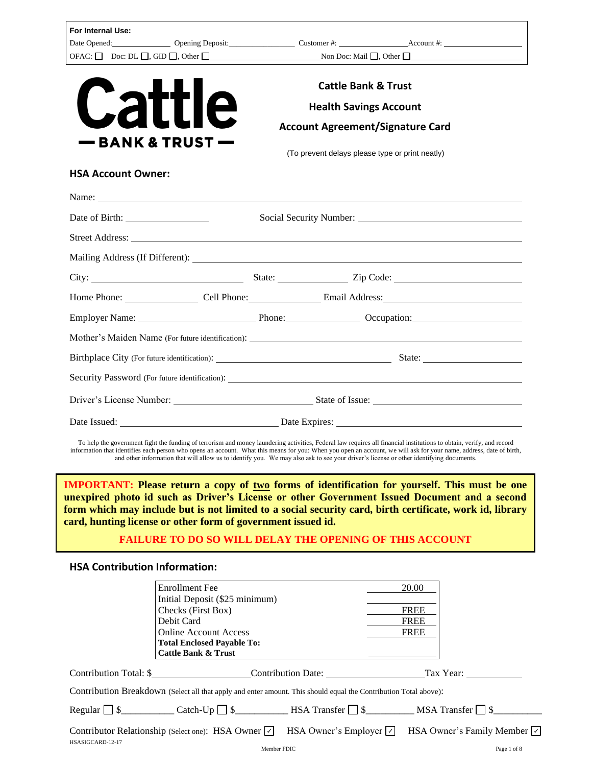| For Internal Use:                    |                                                                                                                                                                                                                                                                                                                                                                                                                                                    |             |                                                 |                                |                                                    |             |
|--------------------------------------|----------------------------------------------------------------------------------------------------------------------------------------------------------------------------------------------------------------------------------------------------------------------------------------------------------------------------------------------------------------------------------------------------------------------------------------------------|-------------|-------------------------------------------------|--------------------------------|----------------------------------------------------|-------------|
|                                      | OFAC: □ Doc: DL □, GID □, Other □ Non Doc: Mail □, Other □                                                                                                                                                                                                                                                                                                                                                                                         |             |                                                 |                                |                                                    |             |
|                                      |                                                                                                                                                                                                                                                                                                                                                                                                                                                    |             |                                                 |                                |                                                    |             |
|                                      |                                                                                                                                                                                                                                                                                                                                                                                                                                                    |             |                                                 | <b>Cattle Bank &amp; Trust</b> |                                                    |             |
| <b>Cattl</b>                         |                                                                                                                                                                                                                                                                                                                                                                                                                                                    |             |                                                 | <b>Health Savings Account</b>  |                                                    |             |
|                                      |                                                                                                                                                                                                                                                                                                                                                                                                                                                    |             | <b>Account Agreement/Signature Card</b>         |                                |                                                    |             |
| — BANK & TRUST                       |                                                                                                                                                                                                                                                                                                                                                                                                                                                    |             | (To prevent delays please type or print neatly) |                                |                                                    |             |
| <b>HSA Account Owner:</b>            |                                                                                                                                                                                                                                                                                                                                                                                                                                                    |             |                                                 |                                |                                                    |             |
|                                      | Name:                                                                                                                                                                                                                                                                                                                                                                                                                                              |             |                                                 |                                |                                                    |             |
|                                      |                                                                                                                                                                                                                                                                                                                                                                                                                                                    |             |                                                 |                                |                                                    |             |
|                                      |                                                                                                                                                                                                                                                                                                                                                                                                                                                    |             |                                                 |                                |                                                    |             |
|                                      |                                                                                                                                                                                                                                                                                                                                                                                                                                                    |             |                                                 |                                |                                                    |             |
|                                      |                                                                                                                                                                                                                                                                                                                                                                                                                                                    |             |                                                 |                                |                                                    |             |
|                                      | Home Phone: Cell Phone: Cell Phone: Email Address: Call Phone: Cell Phone: Cell Phone: Cell Phone: Cell Phone: Cell Phone: Cell Phone: Cell Phone: Cell Phone: Cell Phone: Cell Phone: Cell Phone: Cell Phone: Cell Phone: Cel                                                                                                                                                                                                                     |             |                                                 |                                |                                                    |             |
|                                      | Employer Name: Phone: Phone: Occupation: Comparison:                                                                                                                                                                                                                                                                                                                                                                                               |             |                                                 |                                |                                                    |             |
|                                      |                                                                                                                                                                                                                                                                                                                                                                                                                                                    |             |                                                 |                                |                                                    |             |
|                                      |                                                                                                                                                                                                                                                                                                                                                                                                                                                    |             |                                                 |                                |                                                    |             |
|                                      |                                                                                                                                                                                                                                                                                                                                                                                                                                                    |             |                                                 |                                |                                                    |             |
|                                      |                                                                                                                                                                                                                                                                                                                                                                                                                                                    |             |                                                 |                                |                                                    |             |
|                                      |                                                                                                                                                                                                                                                                                                                                                                                                                                                    |             |                                                 |                                |                                                    |             |
|                                      | To help the government fight the funding of terrorism and money laundering activities, Federal law requires all financial institutions to obtain, verify, and record                                                                                                                                                                                                                                                                               |             |                                                 |                                |                                                    |             |
|                                      | information that identifies each person who opens an account. What this means for you: When you open an account, we will ask for your name, address, date of birth,<br>and other information that will allow us to identify you. We may also ask to see your driver's license or other identifying documents.                                                                                                                                      |             |                                                 |                                |                                                    |             |
|                                      | <b>IMPORTANT:</b> Please return a copy of two forms of identification for yourself. This must be one<br>unexpired photo id such as Driver's License or other Government Issued Document and a second<br>form which may include but is not limited to a social security card, birth certificate, work id, library<br>card, hunting license or other form of government issued id.<br><b>FAILURE TO DO SO WILL DELAY THE OPENING OF THIS ACCOUNT</b> |             |                                                 |                                |                                                    |             |
| <b>HSA Contribution Information:</b> |                                                                                                                                                                                                                                                                                                                                                                                                                                                    |             |                                                 |                                |                                                    |             |
|                                      | <b>Enrollment</b> Fee<br>Initial Deposit (\$25 minimum)<br>Checks (First Box)<br>Debit Card<br><b>Online Account Access</b><br><b>Total Enclosed Payable To:</b><br><b>Cattle Bank &amp; Trust</b>                                                                                                                                                                                                                                                 |             |                                                 |                                | 20.00<br><b>FREE</b><br><b>FREE</b><br><b>FREE</b> |             |
|                                      |                                                                                                                                                                                                                                                                                                                                                                                                                                                    |             |                                                 |                                |                                                    |             |
|                                      | Contribution Breakdown (Select all that apply and enter amount. This should equal the Contribution Total above):                                                                                                                                                                                                                                                                                                                                   |             |                                                 |                                |                                                    |             |
|                                      |                                                                                                                                                                                                                                                                                                                                                                                                                                                    |             |                                                 |                                |                                                    |             |
|                                      | Contributor Relationship (Select one): HSA Owner $\sqrt{\phantom{a}}$ HSA Owner's Employer $\sqrt{\phantom{a}}$ HSA Owner's Family Member $\sqrt{\phantom{a}}$                                                                                                                                                                                                                                                                                     |             |                                                 |                                |                                                    |             |
| HSASIGCARD-12-17                     |                                                                                                                                                                                                                                                                                                                                                                                                                                                    | Member FDIC |                                                 |                                |                                                    | Page 1 of 8 |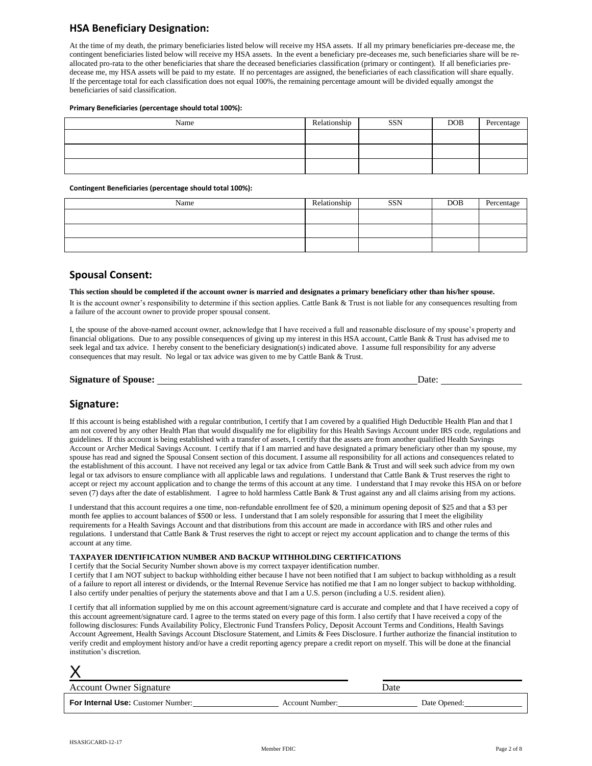## **HSA Beneficiary Designation:**

At the time of my death, the primary beneficiaries listed below will receive my HSA assets. If all my primary beneficiaries pre-decease me, the contingent beneficiaries listed below will receive my HSA assets. In the event a beneficiary pre-deceases me, such beneficiaries share will be reallocated pro-rata to the other beneficiaries that share the deceased beneficiaries classification (primary or contingent). If all beneficiaries predecease me, my HSA assets will be paid to my estate. If no percentages are assigned, the beneficiaries of each classification will share equally. If the percentage total for each classification does not equal 100%, the remaining percentage amount will be divided equally amongst the beneficiaries of said classification.

#### **Primary Beneficiaries (percentage should total 100%):**

| Name | Relationship | <b>SSN</b> | <b>DOB</b> | Percentage |
|------|--------------|------------|------------|------------|
|      |              |            |            |            |
|      |              |            |            |            |
|      |              |            |            |            |

#### **Contingent Beneficiaries (percentage should total 100%):**

| Name | Relationship | <b>SSN</b> | <b>DOB</b> | Percentage |
|------|--------------|------------|------------|------------|
|      |              |            |            |            |
|      |              |            |            |            |
|      |              |            |            |            |

#### **Spousal Consent:**

**This section should be completed if the account owner is married and designates a primary beneficiary other than his/her spouse.**

It is the account owner's responsibility to determine if this section applies. Cattle Bank & Trust is not liable for any consequences resulting from a failure of the account owner to provide proper spousal consent.

I, the spouse of the above-named account owner, acknowledge that I have received a full and reasonable disclosure of my spouse's property and financial obligations. Due to any possible consequences of giving up my interest in this HSA account, Cattle Bank & Trust has advised me to seek legal and tax advice. I hereby consent to the beneficiary designation(s) indicated above. I assume full responsibility for any adverse consequences that may result. No legal or tax advice was given to me by Cattle Bank & Trust.

## **Signature:**

If this account is being established with a regular contribution, I certify that I am covered by a qualified High Deductible Health Plan and that I am not covered by any other Health Plan that would disqualify me for eligibility for this Health Savings Account under IRS code, regulations and guidelines. If this account is being established with a transfer of assets, I certify that the assets are from another qualified Health Savings Account or Archer Medical Savings Account. I certify that if I am married and have designated a primary beneficiary other than my spouse, my spouse has read and signed the Spousal Consent section of this document. I assume all responsibility for all actions and consequences related to the establishment of this account. I have not received any legal or tax advice from Cattle Bank & Trust and will seek such advice from my own legal or tax advisors to ensure compliance with all applicable laws and regulations. I understand that Cattle Bank & Trust reserves the right to accept or reject my account application and to change the terms of this account at any time. I understand that I may revoke this HSA on or before seven (7) days after the date of establishment. I agree to hold harmless Cattle Bank & Trust against any and all claims arising from my actions.

I understand that this account requires a one time, non-refundable enrollment fee of \$20, a minimum opening deposit of \$25 and that a \$3 per month fee applies to account balances of \$500 or less. I understand that I am solely responsible for assuring that I meet the eligibility requirements for a Health Savings Account and that distributions from this account are made in accordance with IRS and other rules and regulations. I understand that Cattle Bank & Trust reserves the right to accept or reject my account application and to change the terms of this account at any time.

#### **TAXPAYER IDENTIFICATION NUMBER AND BACKUP WITHHOLDING CERTIFICATIONS**

I certify that the Social Security Number shown above is my correct taxpayer identification number.

I certify that I am NOT subject to backup withholding either because I have not been notified that I am subject to backup withholding as a result of a failure to report all interest or dividends, or the Internal Revenue Service has notified me that I am no longer subject to backup withholding. I also certify under penalties of perjury the statements above and that I am a U.S. person (including a U.S. resident alien).

I certify that all information supplied by me on this account agreement/signature card is accurate and complete and that I have received a copy of this account agreement/signature card. I agree to the terms stated on every page of this form. I also certify that I have received a copy of the following disclosures: Funds Availability Policy, Electronic Fund Transfers Policy, Deposit Account Terms and Conditions, Health Savings Account Agreement, Health Savings Account Disclosure Statement, and Limits & Fees Disclosure. I further authorize the financial institution to verify credit and employment history and/or have a credit reporting agency prepare a credit report on myself. This will be done at the financial institution's discretion.

| Account Owner Signature                   | Date            |              |
|-------------------------------------------|-----------------|--------------|
| <b>For Internal Use: Customer Number:</b> | Account Number: | Date Opened: |

X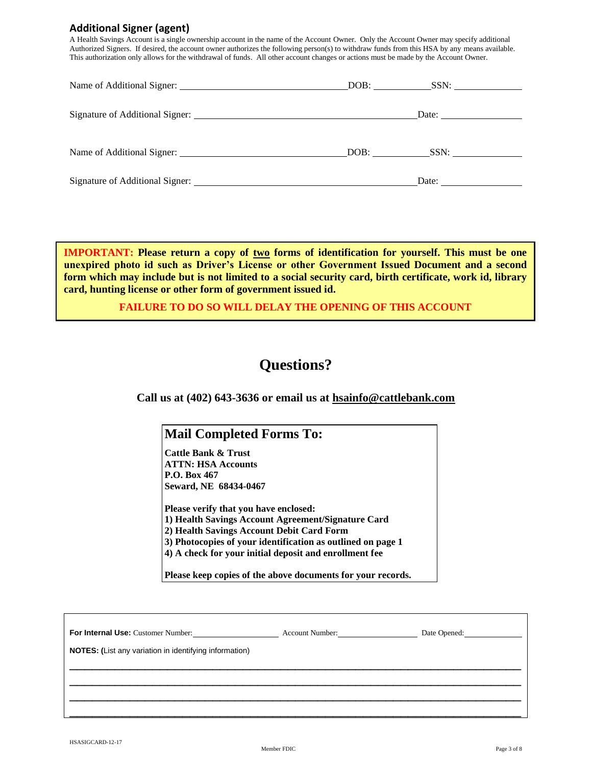## **Additional Signer (agent)**

A Health Savings Account is a single ownership account in the name of the Account Owner. Only the Account Owner may specify additional Authorized Signers. If desired, the account owner authorizes the following person(s) to withdraw funds from this HSA by any means available. This authorization only allows for the withdrawal of funds. All other account changes or actions must be made by the Account Owner.

|  | Date: the contract of the contract of the contract of the contract of the contract of the contract of the contract of the contract of the contract of the contract of the contract of the contract of the contract of the cont |
|--|--------------------------------------------------------------------------------------------------------------------------------------------------------------------------------------------------------------------------------|
|  |                                                                                                                                                                                                                                |
|  | Date: the contract of the contract of the contract of the contract of the contract of the contract of the contract of the contract of the contract of the contract of the contract of the contract of the contract of the cont |

**IMPORTANT: Please return a copy of two forms of identification for yourself. This must be one unexpired photo id such as Driver's License or other Government Issued Document and a second form which may include but is not limited to a social security card, birth certificate, work id, library card, hunting license or other form of government issued id.**

#### **FAILURE TO DO SO WILL DELAY THE OPENING OF THIS ACCOUNT**

# **Questions?**

**Call us at (402) 643-3636 or email us at hsainfo@cattlebank.com**

## **Mail Completed Forms To:**

**Cattle Bank & Trust ATTN: HSA Accounts P.O. Box 467 Seward, NE 68434-0467**

**Please verify that you have enclosed: 1) Health Savings Account Agreement/Signature Card 2) Health Savings Account Debit Card Form 3) Photocopies of your identification as outlined on page 1 4) A check for your initial deposit and enrollment fee**

**Please keep copies of the above documents for your records.**

\_\_\_\_\_\_\_\_\_\_\_\_\_\_\_\_\_\_\_\_\_\_\_\_\_\_\_\_\_\_\_\_\_\_\_\_\_\_\_\_\_\_\_\_\_\_\_\_\_\_\_\_\_\_\_\_\_\_\_\_ \_\_\_\_\_\_\_\_\_\_\_\_\_\_\_\_\_\_\_\_\_\_\_\_\_\_\_\_\_\_\_\_\_\_\_\_\_\_\_\_\_\_\_\_\_\_\_\_\_\_\_\_\_\_\_\_\_\_\_\_ \_\_\_\_\_\_\_\_\_\_\_\_\_\_\_\_\_\_\_\_\_\_\_\_\_\_\_\_\_\_\_\_\_\_\_\_\_\_\_\_\_\_\_\_\_\_\_\_\_\_\_\_\_\_\_\_\_\_\_\_ \_\_\_\_\_\_\_\_\_\_\_\_\_\_\_\_\_\_\_\_\_\_\_\_\_\_\_\_\_\_\_\_\_\_\_\_\_\_\_\_\_\_\_\_\_\_\_\_\_\_\_\_\_\_\_\_\_\_\_\_

**For Internal Use:** Customer Number: **Account Number:** Account Number: Date Opened:

**NOTES: (**List any variation in identifying information)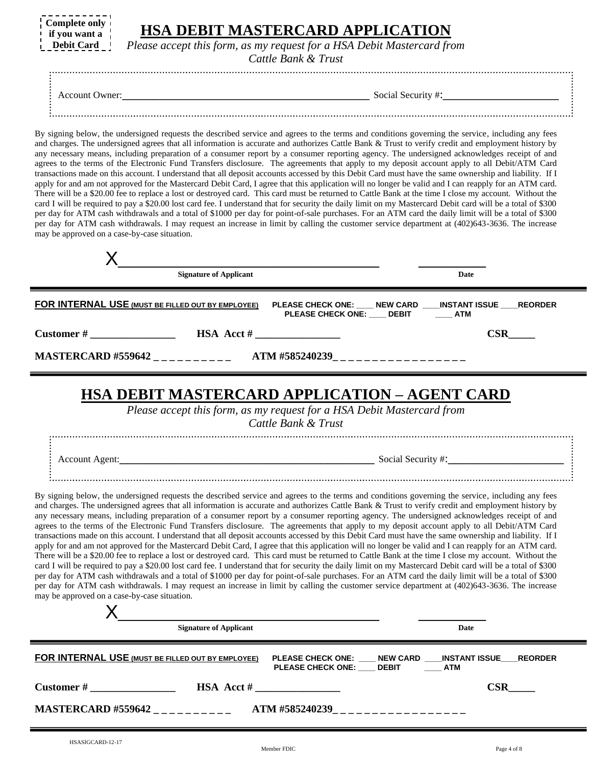| Complete only i   | <b>HSA DEBIT MASTERCARD APPLICATION</b>                                |
|-------------------|------------------------------------------------------------------------|
| if you want a     | Please accept this form, as my request for a HSA Debit Mastercard from |
| <b>Debit Card</b> | Cattle Bank & Trust                                                    |
| Account Owner:    | Social Security #:                                                     |

By signing below, the undersigned requests the described service and agrees to the terms and conditions governing the service, including any fees and charges. The undersigned agrees that all information is accurate and authorizes Cattle Bank & Trust to verify credit and employment history by any necessary means, including preparation of a consumer report by a consumer reporting agency. The undersigned acknowledges receipt of and agrees to the terms of the Electronic Fund Transfers disclosure. The agreements that apply to my deposit account apply to all Debit/ATM Card transactions made on this account. I understand that all deposit accounts accessed by this Debit Card must have the same ownership and liability. If I apply for and am not approved for the Mastercard Debit Card, I agree that this application will no longer be valid and I can reapply for an ATM card. There will be a \$20.00 fee to replace a lost or destroyed card. This card must be returned to Cattle Bank at the time I close my account. Without the card I will be required to pay a \$20.00 lost card fee. I understand that for security the daily limit on my Mastercard Debit card will be a total of \$300 per day for ATM cash withdrawals and a total of \$1000 per day for point-of-sale purchases. For an ATM card the daily limit will be a total of \$300 per day for ATM cash withdrawals. I may request an increase in limit by calling the customer service department at (402)643-3636. The increase may be approved on a case-by-case situation.

|                                                   | <b>Signature of Applicant</b>      | Date                                                                            |  |
|---------------------------------------------------|------------------------------------|---------------------------------------------------------------------------------|--|
| FOR INTERNAL USE (MUST BE FILLED OUT BY EMPLOYEE) |                                    | PLEASE CHECK ONE: NEW CARD NISTANT ISSUE REORDER<br>PLEASE CHECK ONE: DEBIT ATM |  |
| $\alpha$ Customer #                               | $\text{HSA} \text{ Acct} \#$       | $\bf{CSR}$                                                                      |  |
| <b>MASTERCARD #559642</b>                         | ATM #585240239____________________ |                                                                                 |  |
|                                                   |                                    |                                                                                 |  |

# **HSA DEBIT MASTERCARD APPLICATION – AGENT CARD**

*Please accept this form, as my request for a HSA Debit Mastercard from*

*Cattle Bank & Trust*

Account Agent:\_\_\_\_\_\_\_\_\_\_\_\_\_\_\_\_\_\_\_\_\_\_\_\_\_\_\_\_\_\_\_\_\_ Social Security #:\_\_\_\_\_\_\_\_\_\_\_\_\_\_\_

By signing below, the undersigned requests the described service and agrees to the terms and conditions governing the service, including any fees and charges. The undersigned agrees that all information is accurate and authorizes Cattle Bank & Trust to verify credit and employment history by any necessary means, including preparation of a consumer report by a consumer reporting agency. The undersigned acknowledges receipt of and agrees to the terms of the Electronic Fund Transfers disclosure. The agreements that apply to my deposit account apply to all Debit/ATM Card transactions made on this account. I understand that all deposit accounts accessed by this Debit Card must have the same ownership and liability. If I apply for and am not approved for the Mastercard Debit Card, I agree that this application will no longer be valid and I can reapply for an ATM card. There will be a \$20.00 fee to replace a lost or destroyed card. This card must be returned to Cattle Bank at the time I close my account. Without the card I will be required to pay a \$20.00 lost card fee. I understand that for security the daily limit on my Mastercard Debit card will be a total of \$300 per day for ATM cash withdrawals and a total of \$1000 per day for point-of-sale purchases. For an ATM card the daily limit will be a total of \$300 per day for ATM cash withdrawals. I may request an increase in limit by calling the customer service department at (402)643-3636. The increase may be approved on a case-by-case situation.

| <b>Signature of Applicant</b>                     |                                                                                               | Date |
|---------------------------------------------------|-----------------------------------------------------------------------------------------------|------|
| FOR INTERNAL USE (MUST BE FILLED OUT BY EMPLOYEE) | PLEASE CHECK ONE: ____ NEW CARD ____ INSTANT ISSUE ___ REORDER<br>PLEASE CHECK ONE: DEBIT ATM |      |
| $\alpha$ Customer #                               | $\textbf{HSA} \text{ Acct}$ #                                                                 | CSR  |
| <b>MASTERCARD #559642</b>                         | ATM #585240239____________________                                                            |      |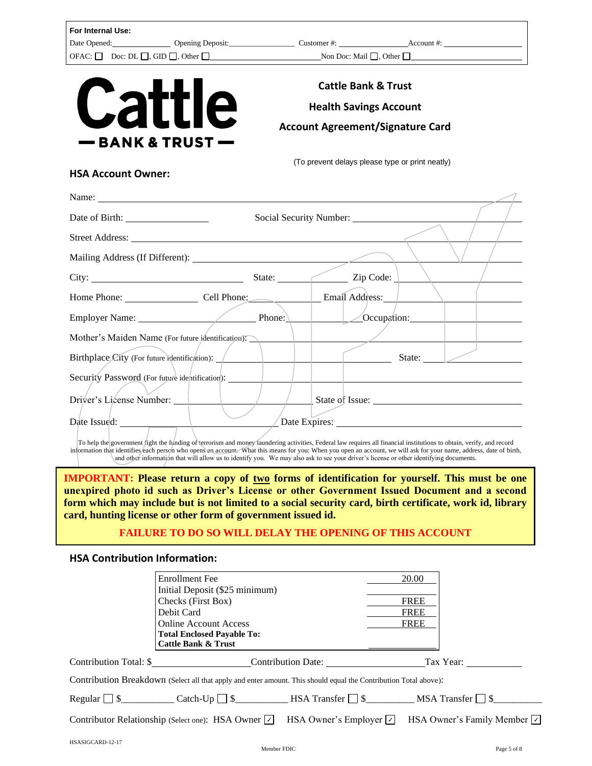| Date Opened: Opening Deposit: Customer #: Customer #: Account #: Account #:<br><b>Cattle Bank &amp; Trust</b><br><b>Cattle</b><br><b>Health Savings Account</b><br><b>Account Agreement/Signature Card</b><br>– BANK & TRUST (<br>(To prevent delays please type or print neatly)<br><b>HSA Account Owner:</b><br>Street Address: No. 1996. The Street Address: No. 1997. The Street Address: No. 1997. The Street Address: No. 1997. The Street Address: No. 1997. The Street Address: No. 1997. The Street Address: No. 1997. The Street Addre<br>City: <u>City:</u> State: <u>City:</u> Zip Code:<br>Home Phone: Cell Phone: Cell Phone: Email Address:<br>Employer Name: Phone: Phone: Phone: Occupation:<br>Mother's Maiden Name (For future identification).<br>Birthplace City (For future identification): \__________________________________<br>State:<br>Security Password (For future identification): _______ | For Internal Use: |  |  |  |
|----------------------------------------------------------------------------------------------------------------------------------------------------------------------------------------------------------------------------------------------------------------------------------------------------------------------------------------------------------------------------------------------------------------------------------------------------------------------------------------------------------------------------------------------------------------------------------------------------------------------------------------------------------------------------------------------------------------------------------------------------------------------------------------------------------------------------------------------------------------------------------------------------------------------------|-------------------|--|--|--|
|                                                                                                                                                                                                                                                                                                                                                                                                                                                                                                                                                                                                                                                                                                                                                                                                                                                                                                                            |                   |  |  |  |
|                                                                                                                                                                                                                                                                                                                                                                                                                                                                                                                                                                                                                                                                                                                                                                                                                                                                                                                            |                   |  |  |  |
|                                                                                                                                                                                                                                                                                                                                                                                                                                                                                                                                                                                                                                                                                                                                                                                                                                                                                                                            |                   |  |  |  |
|                                                                                                                                                                                                                                                                                                                                                                                                                                                                                                                                                                                                                                                                                                                                                                                                                                                                                                                            |                   |  |  |  |
|                                                                                                                                                                                                                                                                                                                                                                                                                                                                                                                                                                                                                                                                                                                                                                                                                                                                                                                            |                   |  |  |  |
|                                                                                                                                                                                                                                                                                                                                                                                                                                                                                                                                                                                                                                                                                                                                                                                                                                                                                                                            |                   |  |  |  |
|                                                                                                                                                                                                                                                                                                                                                                                                                                                                                                                                                                                                                                                                                                                                                                                                                                                                                                                            |                   |  |  |  |
|                                                                                                                                                                                                                                                                                                                                                                                                                                                                                                                                                                                                                                                                                                                                                                                                                                                                                                                            |                   |  |  |  |
|                                                                                                                                                                                                                                                                                                                                                                                                                                                                                                                                                                                                                                                                                                                                                                                                                                                                                                                            |                   |  |  |  |
|                                                                                                                                                                                                                                                                                                                                                                                                                                                                                                                                                                                                                                                                                                                                                                                                                                                                                                                            |                   |  |  |  |
|                                                                                                                                                                                                                                                                                                                                                                                                                                                                                                                                                                                                                                                                                                                                                                                                                                                                                                                            |                   |  |  |  |
|                                                                                                                                                                                                                                                                                                                                                                                                                                                                                                                                                                                                                                                                                                                                                                                                                                                                                                                            |                   |  |  |  |
|                                                                                                                                                                                                                                                                                                                                                                                                                                                                                                                                                                                                                                                                                                                                                                                                                                                                                                                            |                   |  |  |  |
|                                                                                                                                                                                                                                                                                                                                                                                                                                                                                                                                                                                                                                                                                                                                                                                                                                                                                                                            |                   |  |  |  |
|                                                                                                                                                                                                                                                                                                                                                                                                                                                                                                                                                                                                                                                                                                                                                                                                                                                                                                                            |                   |  |  |  |
|                                                                                                                                                                                                                                                                                                                                                                                                                                                                                                                                                                                                                                                                                                                                                                                                                                                                                                                            |                   |  |  |  |
|                                                                                                                                                                                                                                                                                                                                                                                                                                                                                                                                                                                                                                                                                                                                                                                                                                                                                                                            |                   |  |  |  |
|                                                                                                                                                                                                                                                                                                                                                                                                                                                                                                                                                                                                                                                                                                                                                                                                                                                                                                                            |                   |  |  |  |
|                                                                                                                                                                                                                                                                                                                                                                                                                                                                                                                                                                                                                                                                                                                                                                                                                                                                                                                            |                   |  |  |  |
| Driver's License Number: 1 / / / State of Issue:                                                                                                                                                                                                                                                                                                                                                                                                                                                                                                                                                                                                                                                                                                                                                                                                                                                                           |                   |  |  |  |
| Date Issued: <u>New York: New York: New York: New York: New York: New York: New York: New York: New York: New York: New York: New York: New York: New York: New York: New York: New York: New York: New York: New York: New York</u>                                                                                                                                                                                                                                                                                                                                                                                                                                                                                                                                                                                                                                                                                       |                   |  |  |  |

**IMPORTANT:** Please return a copy of two forms of identification for yourself. This must be one **unexpired photo id such as Driver's License or other Government Issued Document and a second form which may include but is not limited to a social security card, birth certificate, work id, library card, hunting license or other form of government issued id.**

## **FAILURE TO DO SO WILL DELAY THE OPENING OF THIS ACCOUNT**

## **HSA Contribution Information:**

| 20.00                                                                                                            |
|------------------------------------------------------------------------------------------------------------------|
|                                                                                                                  |
| <b>FREE</b>                                                                                                      |
| <b>FREE</b>                                                                                                      |
| <b>FREE</b>                                                                                                      |
|                                                                                                                  |
|                                                                                                                  |
| Tax Year:                                                                                                        |
| Contribution Breakdown (Select all that apply and enter amount. This should equal the Contribution Total above): |
|                                                                                                                  |
| HSA Owner's Family Member $ v $                                                                                  |
|                                                                                                                  |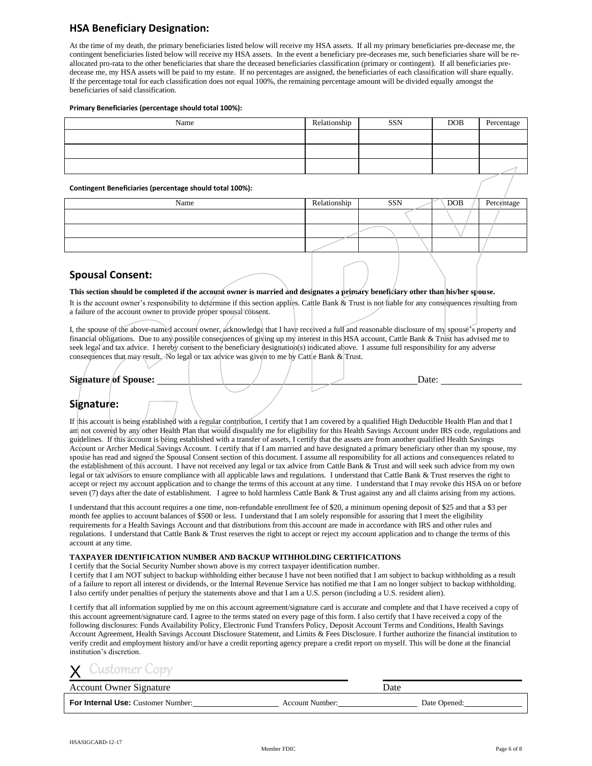## **HSA Beneficiary Designation:**

At the time of my death, the primary beneficiaries listed below will receive my HSA assets. If all my primary beneficiaries pre-decease me, the contingent beneficiaries listed below will receive my HSA assets. In the event a beneficiary pre-deceases me, such beneficiaries share will be reallocated pro-rata to the other beneficiaries that share the deceased beneficiaries classification (primary or contingent). If all beneficiaries predecease me, my HSA assets will be paid to my estate. If no percentages are assigned, the beneficiaries of each classification will share equally. If the percentage total for each classification does not equal 100%, the remaining percentage amount will be divided equally amongst the beneficiaries of said classification.

#### **Primary Beneficiaries (percentage should total 100%):**

| Name | Relationship | <b>SSN</b> | <b>DOB</b> | Percentage |
|------|--------------|------------|------------|------------|
|      |              |            |            |            |
|      |              |            |            |            |
|      |              |            |            |            |
|      |              |            |            |            |

#### **Contingent Beneficiaries (percentage should total 100%):**

| Name | Relationship | SSN | <b>DOB</b> | Percentage |
|------|--------------|-----|------------|------------|
|      |              |     |            |            |
|      |              |     |            |            |
|      |              |     |            |            |
|      |              |     |            |            |

#### **Spousal Consent:**

#### **This section should be completed if the account owner is married and designates a primary beneficiary other than his/her spouse.**

It is the account owner's responsibility to determine if this section applies. Cattle Bank & Trust is not liable for any consequences resulting from a failure of the account owner to provide proper spousal consent.

I, the spouse of the above-named account owner, acknowledge that I have received a full and reasonable disclosure of my spouse's property and financial obligations. Due to any possible consequences of giving up my interest in this HSA account, Cattle Bank & Trust has advised me to seek legal and tax advice. I hereby consent to the beneficiary designation(s) indicated above. I assume full responsibility for any adverse consequences that may result. No legal or tax advice was given to me by Cattle Bank  $\&$  Trust.

#### **Signature of Spouse:** Date: Date:

## **Signature:**

If this account is being established with a regular contribution, I certify that I am covered by a qualified High Deductible Health Plan and that I am not covered by any other Health Plan that would disqualify me for eligibility for this Health Savings Account under IRS code, regulations and guidelines. If this account is being established with a transfer of assets, I certify that the assets are from another qualified Health Savings Account or Archer Medical Savings Account. I certify that if I am married and have designated a primary beneficiary other than my spouse, my spouse has read and signed the Spousal Consent section of this document. I assume all responsibility for all actions and consequences related to the establishment of this account. I have not received any legal or tax advice from Cattle Bank & Trust and will seek such advice from my own legal or tax advisors to ensure compliance with all applicable laws and regulations. I understand that Cattle Bank & Trust reserves the right to accept or reject my account application and to change the terms of this account at any time. I understand that I may revoke this HSA on or before seven (7) days after the date of establishment. I agree to hold harmless Cattle Bank & Trust against any and all claims arising from my actions.

I understand that this account requires a one time, non-refundable enrollment fee of \$20, a minimum opening deposit of \$25 and that a \$3 per month fee applies to account balances of \$500 or less. I understand that I am solely responsible for assuring that I meet the eligibility requirements for a Health Savings Account and that distributions from this account are made in accordance with IRS and other rules and regulations. I understand that Cattle Bank & Trust reserves the right to accept or reject my account application and to change the terms of this account at any time.

#### **TAXPAYER IDENTIFICATION NUMBER AND BACKUP WITHHOLDING CERTIFICATIONS**

I certify that the Social Security Number shown above is my correct taxpayer identification number.

I certify that I am NOT subject to backup withholding either because I have not been notified that I am subject to backup withholding as a result of a failure to report all interest or dividends, or the Internal Revenue Service has notified me that I am no longer subject to backup withholding. I also certify under penalties of perjury the statements above and that I am a U.S. person (including a U.S. resident alien).

I certify that all information supplied by me on this account agreement/signature card is accurate and complete and that I have received a copy of this account agreement/signature card. I agree to the terms stated on every page of this form. I also certify that I have received a copy of the following disclosures: Funds Availability Policy, Electronic Fund Transfers Policy, Deposit Account Terms and Conditions, Health Savings Account Agreement, Health Savings Account Disclosure Statement, and Limits & Fees Disclosure. I further authorize the financial institution to verify credit and employment history and/or have a credit reporting agency prepare a credit report on myself. This will be done at the financial institution's discretion.

#### $\overline{\mathsf{X}}$ iustomer (

Account Owner Signature **Date** Date **Date** Date **Date** 

**For Internal Use:** Customer Number: **Account Number:** Account Number: Date Opened: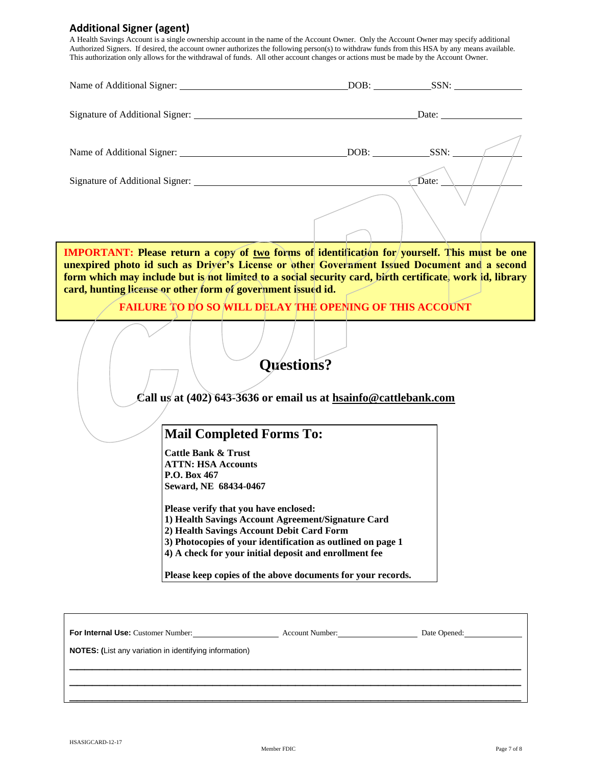## **Additional Signer (agent)**

A Health Savings Account is a single ownership account in the name of the Account Owner. Only the Account Owner may specify additional Authorized Signers. If desired, the account owner authorizes the following person(s) to withdraw funds from this HSA by any means available. This authorization only allows for the withdrawal of funds. All other account changes or actions must be made by the Account Owner.

| <b>IMPORTANT:</b> Please return a copy of two forms of identification for yourself. This must be one<br>unexpired photo id such as Driver's License or other Government Issued Document and a second<br>form which may include but is not limited to a social security card, birth certificate, work id, library<br>card, hunting license or other form of government issued id.<br><b>FAILURE TO DO SO WILL DELAY THE OPENING OF THIS ACCOUNT</b> |                                                                   |  |  |  |  |
|----------------------------------------------------------------------------------------------------------------------------------------------------------------------------------------------------------------------------------------------------------------------------------------------------------------------------------------------------------------------------------------------------------------------------------------------------|-------------------------------------------------------------------|--|--|--|--|
| <b>Questions?</b><br>Call us at (402) 643-3636 or email us at hsainfo@cattlebank.com                                                                                                                                                                                                                                                                                                                                                               |                                                                   |  |  |  |  |
|                                                                                                                                                                                                                                                                                                                                                                                                                                                    | <b>Mail Completed Forms To:</b><br><b>Cattle Bank &amp; Trust</b> |  |  |  |  |
| <b>ATTN: HSA Accounts</b><br>P.O. Box 467<br>Seward, NE 68434-0467                                                                                                                                                                                                                                                                                                                                                                                 |                                                                   |  |  |  |  |
| Please verify that you have enclosed:<br>1) Health Savings Account Agreement/Signature Card<br>2) Health Savings Account Debit Card Form<br>3) Photocopies of your identification as outlined on page 1<br>4) A check for your initial deposit and enrollment fee                                                                                                                                                                                  |                                                                   |  |  |  |  |
|                                                                                                                                                                                                                                                                                                                                                                                                                                                    | Please keep copies of the above documents for your records.       |  |  |  |  |

For Internal Use: Customer Number: Account Number: Date Opened: **NOTES: (**List any variation in identifying information)

\_\_\_\_\_\_\_\_\_\_\_\_\_\_\_\_\_\_\_\_\_\_\_\_\_\_\_\_\_\_\_\_\_\_\_\_\_\_\_\_\_\_\_\_\_\_\_\_\_\_\_\_\_\_\_\_\_\_\_\_ \_\_\_\_\_\_\_\_\_\_\_\_\_\_\_\_\_\_\_\_\_\_\_\_\_\_\_\_\_\_\_\_\_\_\_\_\_\_\_\_\_\_\_\_\_\_\_\_\_\_\_\_\_\_\_\_\_\_\_\_ \_\_\_\_\_\_\_\_\_\_\_\_\_\_\_\_\_\_\_\_\_\_\_\_\_\_\_\_\_\_\_\_\_\_\_\_\_\_\_\_\_\_\_\_\_\_\_\_\_\_\_\_\_\_\_\_\_\_\_\_